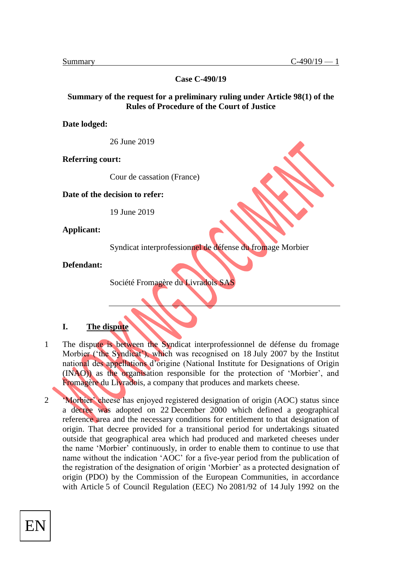**Case C-490/19**

### **Summary of the request for a preliminary ruling under Article 98(1) of the Rules of Procedure of the Court of Justice**

**Date lodged:** 

26 June 2019

**Referring court:** 

Cour de cassation (France)

**Date of the decision to refer:** 

19 June 2019

**Applicant:** 

Syndicat interprofessionnel de défense du fromage Morbier

**Defendant:** 

Société Fromagère du Livradois SAS

### **I. The dispute**

- 1 The dispute is between the Syndicat interprofessionnel de défense du fromage Morbier ('the Syndicat'), which was recognised on 18 July 2007 by the Institut national des appellations d'origine (National Institute for Designations of Origin (INAO)) as the organisation responsible for the protection of 'Morbier', and Fromagère du Livradois, a company that produces and markets cheese.
- 2 'Morbier' cheese has enjoyed registered designation of origin (AOC) status since a decree was adopted on 22 December 2000 which defined a geographical reference area and the necessary conditions for entitlement to that designation of origin. That decree provided for a transitional period for undertakings situated outside that geographical area which had produced and marketed cheeses under the name 'Morbier' continuously, in order to enable them to continue to use that name without the indication 'AOC' for a five-year period from the publication of the registration of the designation of origin 'Morbier' as a protected designation of origin (PDO) by the Commission of the European Communities, in accordance with Article 5 of Council Regulation (EEC) No 2081/92 of 14 July 1992 on the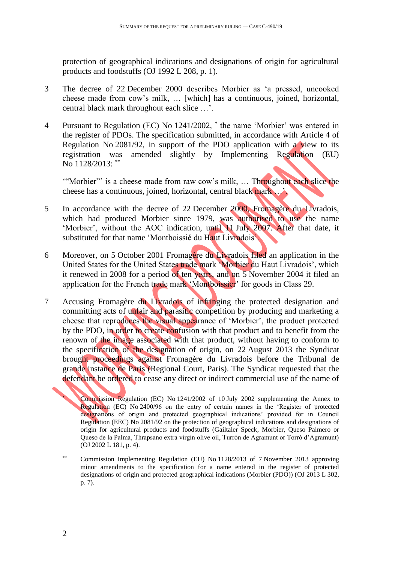protection of geographical indications and designations of origin for agricultural products and foodstuffs (OJ 1992 L 208, p. 1).

- 3 The decree of 22 December 2000 describes Morbier as 'a pressed, uncooked cheese made from cow's milk, … [which] has a continuous, joined, horizontal, central black mark throughout each slice …'.
- 4 Pursuant to Regulation (EC) No 1241/2002, \* the name 'Morbier' was entered in the register of PDOs. The specification submitted, in accordance with Article 4 of Regulation No 2081/92, in support of the PDO application with a view to its registration was amended slightly by Implementing Regulation (EU) No 1128/2013: \*\*

'"Morbier"' is a cheese made from raw cow's milk, … Throughout each slice the cheese has a continuous, joined, horizontal, central black mark …'.

- 5 In accordance with the decree of 22 December 2000, Fromagère du Livradois, which had produced Morbier since 1979, was authorised to use the name 'Morbier', without the AOC indication, until 11 July 2007. After that date, it substituted for that name 'Montboissié du Haut Livradois'.
- 6 Moreover, on 5 October 2001 Fromagère du Livradois filed an application in the United States for the United States trade mark 'Morbier du Haut Livradois', which it renewed in 2008 for a period of ten years, and on 5 November 2004 it filed an application for the French trade mark 'Montboissier' for goods in Class 29.
- 7 Accusing Fromagère du Livradois of infringing the protected designation and committing acts of unfair and parasitic competition by producing and marketing a cheese that reproduces the visual appearance of 'Morbier', the product protected by the PDO, in order to create confusion with that product and to benefit from the renown of the image associated with that product, without having to conform to the specification of the designation of origin, on 22 August 2013 the Syndicat brought proceedings against Fromagère du Livradois before the Tribunal de grande instance de Paris (Regional Court, Paris). The Syndicat requested that the defendant be ordered to cease any direct or indirect commercial use of the name of

<sup>\*</sup> Commission Regulation (EC) No 1241/2002 of 10 July 2002 supplementing the Annex to Regulation (EC) No 2400/96 on the entry of certain names in the 'Register of protected designations of origin and protected geographical indications' provided for in Council Regulation (EEC) No 2081/92 on the protection of geographical indications and designations of origin for agricultural products and foodstuffs (Gailtaler Speck, Morbier, Queso Palmero or Queso de la Palma, Thrapsano extra virgin olive oil, Turrón de Agramunt or Torró d'Agramunt) (OJ 2002 L 181, p. 4).

<sup>\*\*</sup> Commission Implementing Regulation (EU) No 1128/2013 of 7 November 2013 approving minor amendments to the specification for a name entered in the register of protected designations of origin and protected geographical indications (Morbier (PDO)) (OJ 2013 L 302, p. 7).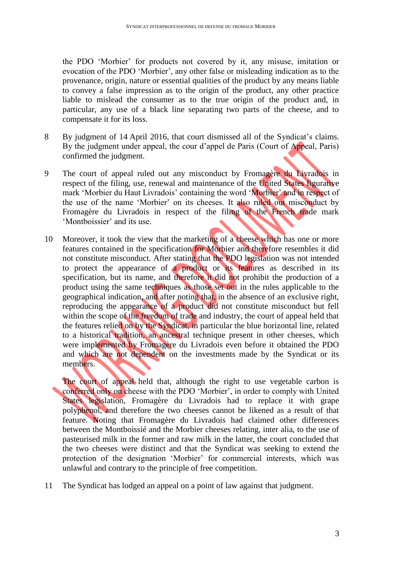the PDO 'Morbier' for products not covered by it, any misuse, imitation or evocation of the PDO 'Morbier', any other false or misleading indication as to the provenance, origin, nature or essential qualities of the product by any means liable to convey a false impression as to the origin of the product, any other practice liable to mislead the consumer as to the true origin of the product and, in particular, any use of a black line separating two parts of the cheese, and to compensate it for its loss.

- 8 By judgment of 14 April 2016, that court dismissed all of the Syndicat's claims. By the judgment under appeal, the cour d'appel de Paris (Court of Appeal, Paris) confirmed the judgment.
- 9 The court of appeal ruled out any misconduct by Fromagère du Livradois in respect of the filing, use, renewal and maintenance of the United States figurative mark 'Morbier du Haut Livradois' containing the word 'Morbier' and in respect of the use of the name 'Morbier' on its cheeses. It also ruled out misconduct by Fromagère du Livradois in respect of the filing of the French trade mark 'Montboissier' and its use.
- 10 Moreover, it took the view that the marketing of a cheese which has one or more features contained in the specification for Morbier and therefore resembles it did not constitute misconduct. After stating that the PDO legislation was not intended to protect the appearance of a product or its features as described in its specification, but its name, and therefore it did not prohibit the production of a product using the same techniques as those set out in the rules applicable to the geographical indication, and after noting that, in the absence of an exclusive right, reproducing the appearance of a product did not constitute misconduct but fell within the scope of the freedom of trade and industry, the court of appeal held that the features relied on by the Syndicat, in particular the blue horizontal line, related to a historical tradition, an ancestral technique present in other cheeses, which were implemented by Fromagère du Livradois even before it obtained the PDO and which are not dependent on the investments made by the Syndicat or its members.

The court of appeal held that, although the right to use vegetable carbon is conferred only on cheese with the PDO 'Morbier', in order to comply with United States legislation, Fromagère du Livradois had to replace it with grape polyphenol, and therefore the two cheeses cannot be likened as a result of that feature. Noting that Fromagère du Livradois had claimed other differences between the Montboissié and the Morbier cheeses relating, inter alia, to the use of pasteurised milk in the former and raw milk in the latter, the court concluded that the two cheeses were distinct and that the Syndicat was seeking to extend the protection of the designation 'Morbier' for commercial interests, which was unlawful and contrary to the principle of free competition.

11 The Syndicat has lodged an appeal on a point of law against that judgment.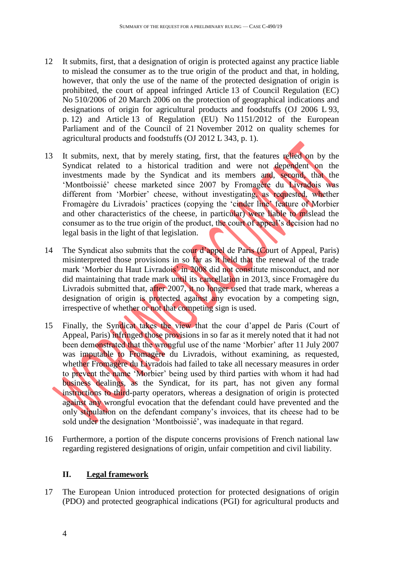- 12 It submits, first, that a designation of origin is protected against any practice liable to mislead the consumer as to the true origin of the product and that, in holding, however, that only the use of the name of the protected designation of origin is prohibited, the court of appeal infringed Article 13 of Council Regulation (EC) No 510/2006 of 20 March 2006 on the protection of geographical indications and designations of origin for agricultural products and foodstuffs (OJ 2006 L 93, p. 12) and Article 13 of Regulation (EU) No 1151/2012 of the European Parliament and of the Council of 21 November 2012 on quality schemes for agricultural products and foodstuffs (OJ 2012 L 343, p. 1).
- 13 It submits, next, that by merely stating, first, that the features relied on by the Syndicat related to a historical tradition and were not dependent on the investments made by the Syndicat and its members and, second, that the 'Montboissié' cheese marketed since 2007 by Fromagère du Livradois was different from 'Morbier' cheese, without investigating, as requested, whether Fromagère du Livradois' practices (copying the 'cinder line' feature of Morbier and other characteristics of the cheese, in particular) were liable to mislead the consumer as to the true origin of the product, the court of appeal's decision had no legal basis in the light of that legislation.
- 14 The Syndicat also submits that the cour d'appel de Paris (Court of Appeal, Paris) misinterpreted those provisions in so far as it held that the renewal of the trade mark 'Morbier du Haut Livradois' in 2008 did not constitute misconduct, and nor did maintaining that trade mark until its cancellation in 2013, since Fromagère du Livradois submitted that, after 2007, it no longer used that trade mark, whereas a designation of origin is protected against any evocation by a competing sign, irrespective of whether or not that competing sign is used.
- 15 Finally, the Syndicat takes the view that the cour d'appel de Paris (Court of Appeal, Paris) infringed those provisions in so far as it merely noted that it had not been demonstrated that the wrongful use of the name 'Morbier' after 11 July 2007 was imputable to Fromagère du Livradois, without examining, as requested, whether Fromagère du Livradois had failed to take all necessary measures in order to prevent the name 'Morbier' being used by third parties with whom it had had business dealings, as the Syndicat, for its part, has not given any formal instructions to third-party operators, whereas a designation of origin is protected against any wrongful evocation that the defendant could have prevented and the only stipulation on the defendant company's invoices, that its cheese had to be sold under the designation 'Montboissié', was inadequate in that regard.
- 16 Furthermore, a portion of the dispute concerns provisions of French national law regarding registered designations of origin, unfair competition and civil liability.

## **II. Legal framework**

17 The European Union introduced protection for protected designations of origin (PDO) and protected geographical indications (PGI) for agricultural products and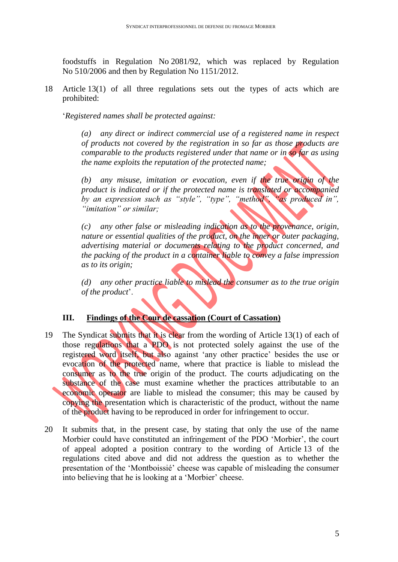foodstuffs in Regulation No 2081/92, which was replaced by Regulation No 510/2006 and then by Regulation No 1151/2012.

18 Article 13(1) of all three regulations sets out the types of acts which are prohibited:

'*Registered names shall be protected against:*

*(a) any direct or indirect commercial use of a registered name in respect of products not covered by the registration in so far as those products are comparable to the products registered under that name or in so far as using the name exploits the reputation of the protected name;*

*(b) any misuse, imitation or evocation, even if the true origin of the product is indicated or if the protected name is translated or accompanied by an expression such as "style", "type", "method", "as produced in", "imitation" or similar;*

*(c) any other false or misleading indication as to the provenance, origin, nature or essential qualities of the product, on the inner or outer packaging, advertising material or documents relating to the product concerned, and the packing of the product in a container liable to convey a false impression as to its origin;*

*(d) any other practice liable to mislead the consumer as to the true origin of the product*'.

# **III. Findings of the Cour de cassation (Court of Cassation)**

- 19 The Syndicat submits that it is clear from the wording of Article 13(1) of each of those regulations that a PDO is not protected solely against the use of the registered word itself, but also against 'any other practice' besides the use or evocation of the protected name, where that practice is liable to mislead the consumer as to the true origin of the product. The courts adjudicating on the substance of the case must examine whether the practices attributable to an economic operator are liable to mislead the consumer; this may be caused by copying the presentation which is characteristic of the product, without the name of the product having to be reproduced in order for infringement to occur.
- 20 It submits that, in the present case, by stating that only the use of the name Morbier could have constituted an infringement of the PDO 'Morbier', the court of appeal adopted a position contrary to the wording of Article 13 of the regulations cited above and did not address the question as to whether the presentation of the 'Montboissié' cheese was capable of misleading the consumer into believing that he is looking at a 'Morbier' cheese.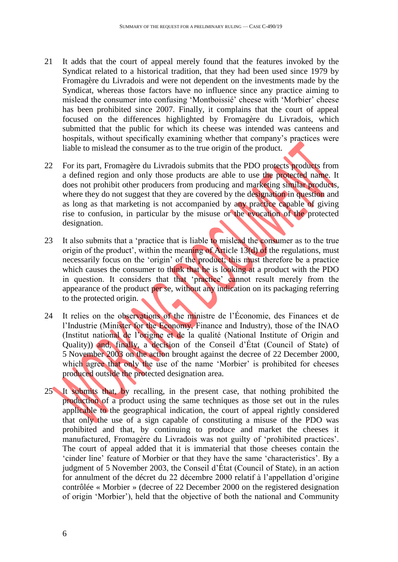- 21 It adds that the court of appeal merely found that the features invoked by the Syndicat related to a historical tradition, that they had been used since 1979 by Fromagère du Livradois and were not dependent on the investments made by the Syndicat, whereas those factors have no influence since any practice aiming to mislead the consumer into confusing 'Montboissié' cheese with 'Morbier' cheese has been prohibited since 2007. Finally, it complains that the court of appeal focused on the differences highlighted by Fromagère du Livradois, which submitted that the public for which its cheese was intended was canteens and hospitals, without specifically examining whether that company's practices were liable to mislead the consumer as to the true origin of the product.
- 22 For its part, Fromagère du Livradois submits that the PDO protects products from a defined region and only those products are able to use the protected name. It does not prohibit other producers from producing and marketing similar products, where they do not suggest that they are covered by the designation in question and as long as that marketing is not accompanied by any practice capable of giving rise to confusion, in particular by the misuse or the evocation of the protected designation.
- 23 It also submits that a 'practice that is liable to mislead the consumer as to the true origin of the product', within the meaning of Article 13(d) of the regulations, must necessarily focus on the 'origin' of the product; this must therefore be a practice which causes the consumer to think that he is looking at a product with the PDO in question. It considers that that 'practice' cannot result merely from the appearance of the product per se, without any indication on its packaging referring to the protected origin.
- 24 It relies on the observations of the ministre de l'Économie, des Finances et de l'Industrie (Minister for the Economy, Finance and Industry), those of the INAO (Institut national de l'origine et de la qualité (National Institute of Origin and Quality)) and, finally, a decision of the Conseil d'État (Council of State) of 5 November 2003 on the action brought against the decree of 22 December 2000, which agree that only the use of the name 'Morbier' is prohibited for cheeses produced outside the protected designation area.
- 25 It submits that, by recalling, in the present case, that nothing prohibited the production of a product using the same techniques as those set out in the rules applicable to the geographical indication, the court of appeal rightly considered that only the use of a sign capable of constituting a misuse of the PDO was prohibited and that, by continuing to produce and market the cheeses it manufactured, Fromagère du Livradois was not guilty of 'prohibited practices'. The court of appeal added that it is immaterial that those cheeses contain the 'cinder line' feature of Morbier or that they have the same 'characteristics'. By a judgment of 5 November 2003, the Conseil d'État (Council of State), in an action for annulment of the décret du 22 décembre 2000 relatif à l'appellation d'origine contrôlée « Morbier » (decree of 22 December 2000 on the registered designation of origin 'Morbier'), held that the objective of both the national and Community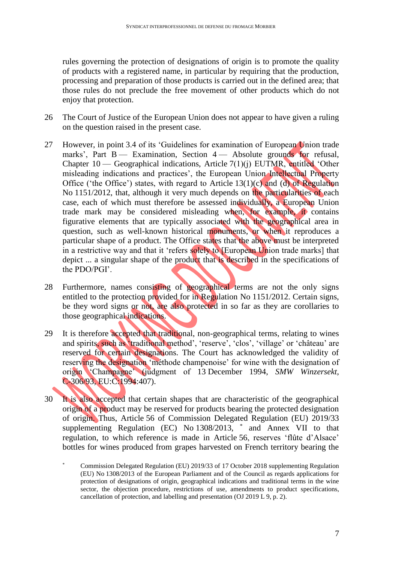rules governing the protection of designations of origin is to promote the quality of products with a registered name, in particular by requiring that the production, processing and preparation of those products is carried out in the defined area; that those rules do not preclude the free movement of other products which do not enjoy that protection.

- 26 The Court of Justice of the European Union does not appear to have given a ruling on the question raised in the present case.
- 27 However, in point 3.4 of its 'Guidelines for examination of European Union trade marks', Part  $B -$  Examination, Section  $4 -$  Absolute grounds for refusal, Chapter 10 — Geographical indications, Article 7(1)(j) EUTMR, entitled 'Other misleading indications and practices', the European Union Intellectual Property Office ('the Office') states, with regard to Article 13(1)(c) and (d) of Regulation No 1151/2012, that, although it very much depends on the particularities of each case, each of which must therefore be assessed individually, a European Union trade mark may be considered misleading when, for example, it contains figurative elements that are typically associated with the geographical area in question, such as well-known historical monuments, or when it reproduces a particular shape of a product. The Office states that the above must be interpreted in a restrictive way and that it 'refers solely to [European Union trade marks] that depict ... a singular shape of the product that is described in the specifications of the PDO/PGI'.
- 28 Furthermore, names consisting of geographical terms are not the only signs entitled to the protection provided for in Regulation No 1151/2012. Certain signs, be they word signs or not, are also protected in so far as they are corollaries to those geographical indications.
- 29 It is therefore accepted that traditional, non-geographical terms, relating to wines and spirits, such as 'traditional method', 'reserve', 'clos', 'village' or 'château' are reserved for certain designations. The Court has acknowledged the validity of reserving the designation 'méthode champenoise' for wine with the designation of origin 'Champagne' (judgment of 13 December 1994, *SMW Winzersekt*, C-306/93, EU:C:1994:407).
- 30 It is also accepted that certain shapes that are characteristic of the geographical origin of a product may be reserved for products bearing the protected designation of origin. Thus, Article 56 of Commission Delegated Regulation (EU) 2019/33 supplementing Regulation (EC) No 1308/2013, \* and Annex VII to that regulation, to which reference is made in Article 56, reserves 'flûte d'Alsace' bottles for wines produced from grapes harvested on French territory bearing the

<sup>\*</sup> Commission Delegated Regulation (EU) 2019/33 of 17 October 2018 supplementing Regulation (EU) No 1308/2013 of the European Parliament and of the Council as regards applications for protection of designations of origin, geographical indications and traditional terms in the wine sector, the objection procedure, restrictions of use, amendments to product specifications, cancellation of protection, and labelling and presentation (OJ 2019 L 9, p. 2).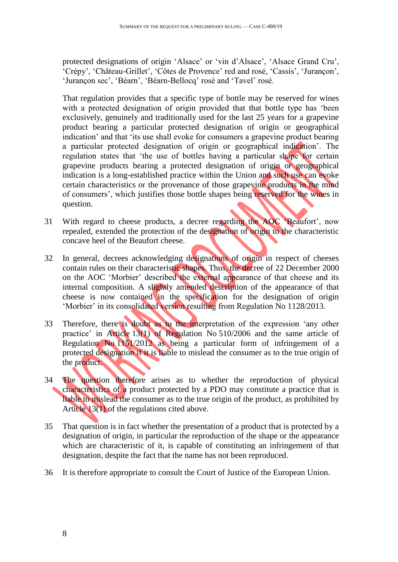protected designations of origin 'Alsace' or 'vin d'Alsace', 'Alsace Grand Cru', 'Crépy', 'Château-Grillet', 'Côtes de Provence' red and rosé, 'Cassis', 'Jurançon', 'Jurançon sec', 'Béarn', 'Béarn-Bellocq' rosé and 'Tavel' rosé.

That regulation provides that a specific type of bottle may be reserved for wines with a protected designation of origin provided that that bottle type has 'been exclusively, genuinely and traditionally used for the last 25 years for a grapevine product bearing a particular protected designation of origin or geographical indication' and that 'its use shall evoke for consumers a grapevine product bearing a particular protected designation of origin or geographical indication'. The regulation states that 'the use of bottles having a particular shape for certain grapevine products bearing a protected designation of origin or geographical indication is a long-established practice within the Union and such use can evoke certain characteristics or the provenance of those grapevine products in the mind of consumers', which justifies those bottle shapes being reserved for the wines in question.

- 31 With regard to cheese products, a decree regarding the AOC 'Beaufort', now repealed, extended the protection of the designation of origin to the characteristic concave heel of the Beaufort cheese.
- 32 In general, decrees acknowledging designations of origin in respect of cheeses contain rules on their characteristic shapes. Thus, the decree of 22 December 2000 on the AOC 'Morbier' described the external appearance of that cheese and its internal composition. A slightly amended description of the appearance of that cheese is now contained in the specification for the designation of origin 'Morbier' in its consolidated version resulting from Regulation No 1128/2013.
- 33 Therefore, there is doubt as to the interpretation of the expression 'any other practice' in Article 13(1) of Regulation No 510/2006 and the same article of Regulation No 1151/2012 as being a particular form of infringement of a protected designation if it is liable to mislead the consumer as to the true origin of the product.
- 34 The question therefore arises as to whether the reproduction of physical characteristics of a product protected by a PDO may constitute a practice that is liable to mislead the consumer as to the true origin of the product, as prohibited by Article 13(1) of the regulations cited above.
- 35 That question is in fact whether the presentation of a product that is protected by a designation of origin, in particular the reproduction of the shape or the appearance which are characteristic of it, is capable of constituting an infringement of that designation, despite the fact that the name has not been reproduced.
- 36 It is therefore appropriate to consult the Court of Justice of the European Union.